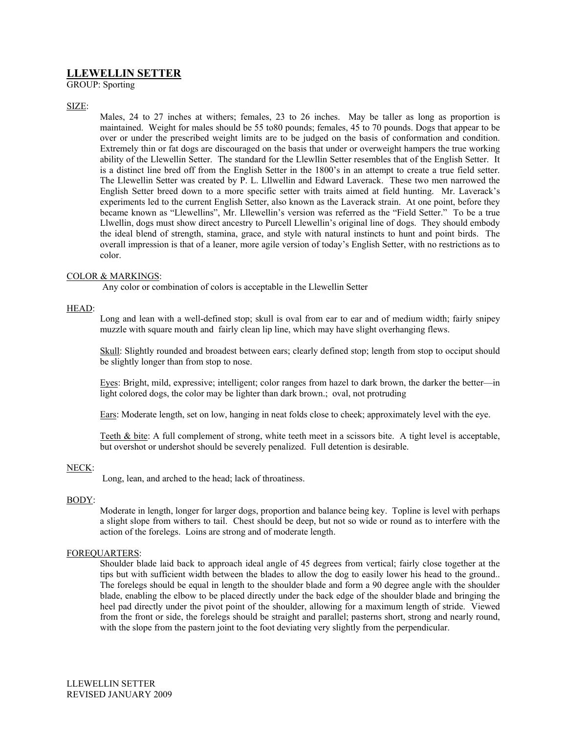# **LLEWELLIN SETTER**

GROUP: Sporting

## SIZE:

Males, 24 to 27 inches at withers; females, 23 to 26 inches. May be taller as long as proportion is maintained. Weight for males should be 55 to80 pounds; females, 45 to 70 pounds. Dogs that appear to be over or under the prescribed weight limits are to be judged on the basis of conformation and condition. Extremely thin or fat dogs are discouraged on the basis that under or overweight hampers the true working ability of the Llewellin Setter. The standard for the Llewllin Setter resembles that of the English Setter. It is a distinct line bred off from the English Setter in the 1800's in an attempt to create a true field setter. The Llewellin Setter was created by P. L. Lllwellin and Edward Laverack. These two men narrowed the English Setter breed down to a more specific setter with traits aimed at field hunting. Mr. Laverack's experiments led to the current English Setter, also known as the Laverack strain. At one point, before they became known as "Llewellins", Mr. Lllewellin's version was referred as the "Field Setter." To be a true Llwellin, dogs must show direct ancestry to Purcell Llewellin's original line of dogs. They should embody the ideal blend of strength, stamina, grace, and style with natural instincts to hunt and point birds. The overall impression is that of a leaner, more agile version of today's English Setter, with no restrictions as to color.

## COLOR & MARKINGS:

Any color or combination of colors is acceptable in the Llewellin Setter

## HEAD:

Long and lean with a well-defined stop; skull is oval from ear to ear and of medium width; fairly snipey muzzle with square mouth and fairly clean lip line, which may have slight overhanging flews.

Skull: Slightly rounded and broadest between ears; clearly defined stop; length from stop to occiput should be slightly longer than from stop to nose.

Eyes: Bright, mild, expressive; intelligent; color ranges from hazel to dark brown, the darker the better—in light colored dogs, the color may be lighter than dark brown.; oval, not protruding

Ears: Moderate length, set on low, hanging in neat folds close to cheek; approximately level with the eye.

Teeth & bite: A full complement of strong, white teeth meet in a scissors bite. A tight level is acceptable, but overshot or undershot should be severely penalized. Full detention is desirable.

## NECK:

Long, lean, and arched to the head; lack of throatiness.

#### BODY:

Moderate in length, longer for larger dogs, proportion and balance being key. Topline is level with perhaps a slight slope from withers to tail. Chest should be deep, but not so wide or round as to interfere with the action of the forelegs. Loins are strong and of moderate length.

## FOREQUARTERS:

Shoulder blade laid back to approach ideal angle of 45 degrees from vertical; fairly close together at the tips but with sufficient width between the blades to allow the dog to easily lower his head to the ground.. The forelegs should be equal in length to the shoulder blade and form a 90 degree angle with the shoulder blade, enabling the elbow to be placed directly under the back edge of the shoulder blade and bringing the heel pad directly under the pivot point of the shoulder, allowing for a maximum length of stride. Viewed from the front or side, the forelegs should be straight and parallel; pasterns short, strong and nearly round, with the slope from the pastern joint to the foot deviating very slightly from the perpendicular.